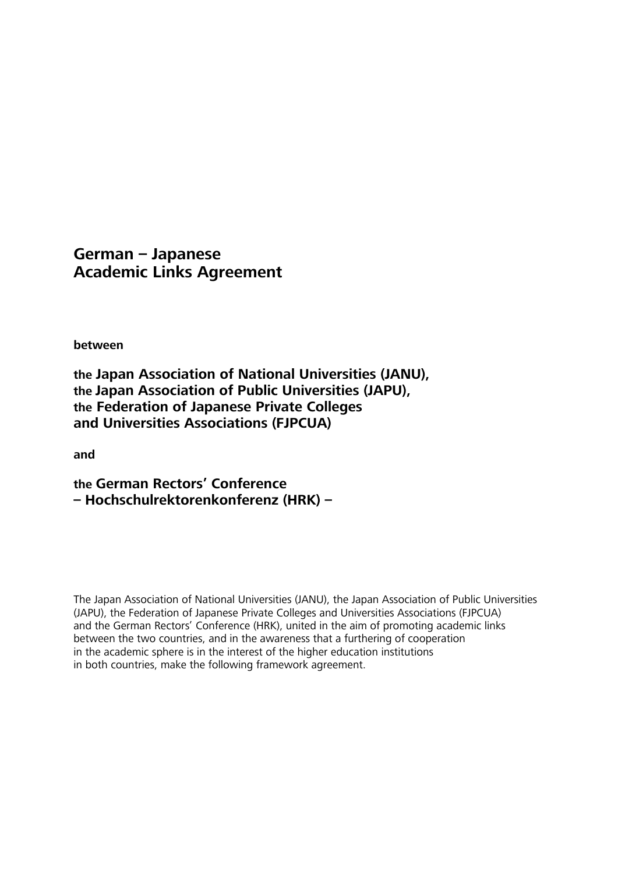# **German – Japanese Academic Links Agreement**

**between** 

**the Japan Association of National Universities (JANU), the Japan Association of Public Universities (JAPU), the Federation of Japanese Private Colleges and Universities Associations (FJPCUA)** 

**and** 

**the German Rectors' Conference – Hochschulrektorenkonferenz (HRK) –** 

The Japan Association of National Universities (JANU), the Japan Association of Public Universities (JAPU), the Federation of Japanese Private Colleges and Universities Associations (FJPCUA) and the German Rectors' Conference (HRK), united in the aim of promoting academic links between the two countries, and in the awareness that a furthering of cooperation in the academic sphere is in the interest of the higher education institutions in both countries, make the following framework agreement.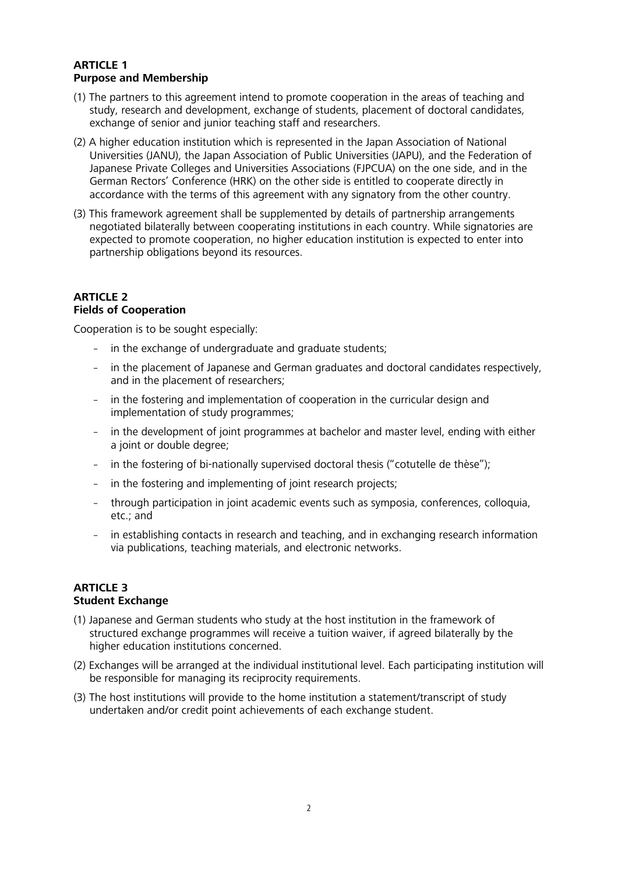## **ARTICLE 1 Purpose and Membership**

- (1) The partners to this agreement intend to promote cooperation in the areas of teaching and study, research and development, exchange of students, placement of doctoral candidates, exchange of senior and junior teaching staff and researchers.
- (2) A higher education institution which is represented in the Japan Association of National Universities (JANU), the Japan Association of Public Universities (JAPU), and the Federation of Japanese Private Colleges and Universities Associations (FJPCUA) on the one side, and in the German Rectors' Conference (HRK) on the other side is entitled to cooperate directly in accordance with the terms of this agreement with any signatory from the other country.
- (3) This framework agreement shall be supplemented by details of partnership arrangements negotiated bilaterally between cooperating institutions in each country. While signatories are expected to promote cooperation, no higher education institution is expected to enter into partnership obligations beyond its resources.

### **ARTICLE 2 Fields of Cooperation**

Cooperation is to be sought especially:

- in the exchange of undergraduate and graduate students;
- in the placement of Japanese and German graduates and doctoral candidates respectively, and in the placement of researchers;
- in the fostering and implementation of cooperation in the curricular design and implementation of study programmes;
- in the development of joint programmes at bachelor and master level, ending with either a joint or double degree;
- in the fostering of bi-nationally supervised doctoral thesis ("cotutelle de thèse");
- in the fostering and implementing of joint research projects;
- through participation in joint academic events such as symposia, conferences, colloquia, etc.; and
- in establishing contacts in research and teaching, and in exchanging research information via publications, teaching materials, and electronic networks.

### **ARTICLE 3 Student Exchange**

- (1) Japanese and German students who study at the host institution in the framework of structured exchange programmes will receive a tuition waiver, if agreed bilaterally by the higher education institutions concerned.
- (2) Exchanges will be arranged at the individual institutional level. Each participating institution will be responsible for managing its reciprocity requirements.
- (3) The host institutions will provide to the home institution a statement/transcript of study undertaken and/or credit point achievements of each exchange student.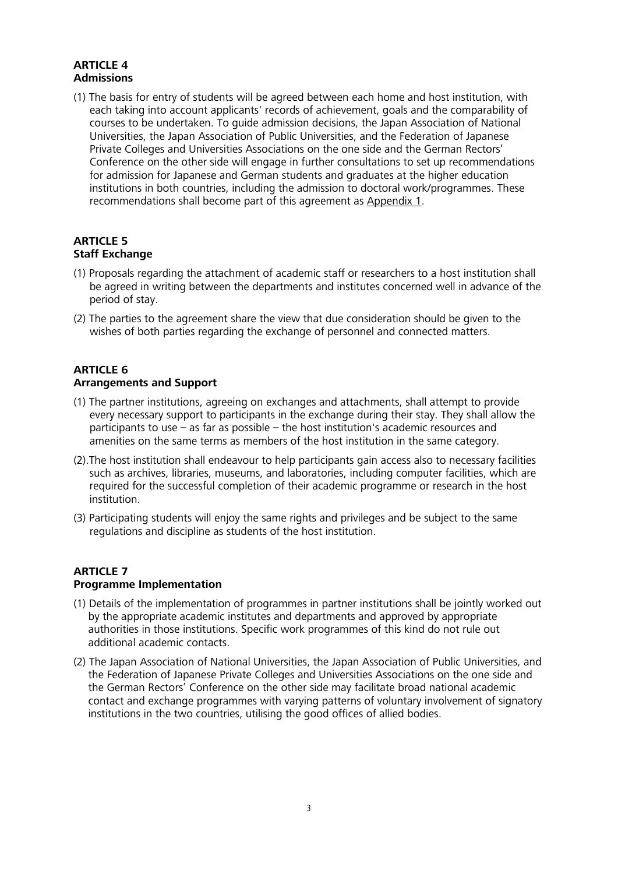## **ARTICLE 4 Admissions**

(1) The basis for entry of students will be agreed between each home and host institution, with each taking into account applicants' records of achievement, goals and the comparability of courses to be undertaken. To guide admission decisions, the Japan Association of National Universities, the Japan Association of Public Universities, and the Federation of Japanese Private Colleges and Universities Associations on the one side and the German Rectors' Conference on the other side will engage in further consultations to set up recommendations for admission for Japanese and German students and graduates at the higher education institutions in both countries, including the admission to doctoral work/programmes. These recommendations shall become part of this agreement as Appendix 1.

## **ARTICLE 5 Staff Exchange**

- (1) Proposals regarding the attachment of academic staff or researchers to a host institution shall be agreed in writing between the departments and institutes concerned well in advance of the period of stay.
- (2) The parties to the agreement share the view that due consideration should be given to the wishes of both parties regarding the exchange of personnel and connected matters.

#### **ARTICLE 6 Arrangements and Support**

- (1) The partner institutions, agreeing on exchanges and attachments, shall attempt to provide every necessary support to participants in the exchange during their stay. They shall allow the participants to use – as far as possible – the host institution's academic resources and amenities on the same terms as members of the host institution in the same category.
- (2).The host institution shall endeavour to help participants gain access also to necessary facilities such as archives, libraries, museums, and laboratories, including computer facilities, which are required for the successful completion of their academic programme or research in the host institution.
- (3) Participating students will enjoy the same rights and privileges and be subject to the same regulations and discipline as students of the host institution.

## **ARTICLE 7 Programme Implementation**

- (1) Details of the implementation of programmes in partner institutions shall be jointly worked out by the appropriate academic institutes and departments and approved by appropriate authorities in those institutions. Specific work programmes of this kind do not rule out additional academic contacts.
- (2) The Japan Association of National Universities, the Japan Association of Public Universities, and the Federation of Japanese Private Colleges and Universities Associations on the one side and the German Rectors' Conference on the other side may facilitate broad national academic contact and exchange programmes with varying patterns of voluntary involvement of signatory institutions in the two countries, utilising the good offices of allied bodies.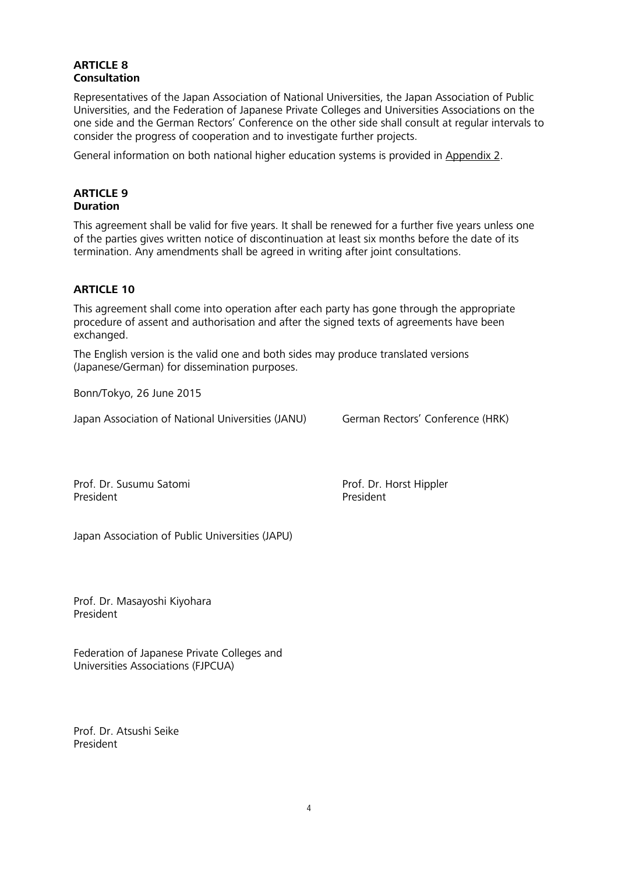## **ARTICLE 8 Consultation**

Representatives of the Japan Association of National Universities, the Japan Association of Public Universities, and the Federation of Japanese Private Colleges and Universities Associations on the one side and the German Rectors' Conference on the other side shall consult at regular intervals to consider the progress of cooperation and to investigate further projects.

General information on both national higher education systems is provided in Appendix 2.

### **ARTICLE 9 Duration**

This agreement shall be valid for five years. It shall be renewed for a further five years unless one of the parties gives written notice of discontinuation at least six months before the date of its termination. Any amendments shall be agreed in writing after joint consultations.

## **ARTICLE 10**

This agreement shall come into operation after each party has gone through the appropriate procedure of assent and authorisation and after the signed texts of agreements have been exchanged.

The English version is the valid one and both sides may produce translated versions (Japanese/German) for dissemination purposes.

Bonn/Tokyo, 26 June 2015

Japan Association of National Universities (JANU) German Rectors' Conference (HRK)

Prof. Dr. Susumu Satomi President

Prof. Dr. Horst Hippler President

Japan Association of Public Universities (JAPU)

Prof. Dr. Masayoshi Kiyohara President

Federation of Japanese Private Colleges and Universities Associations (FJPCUA)

Prof. Dr. Atsushi Seike President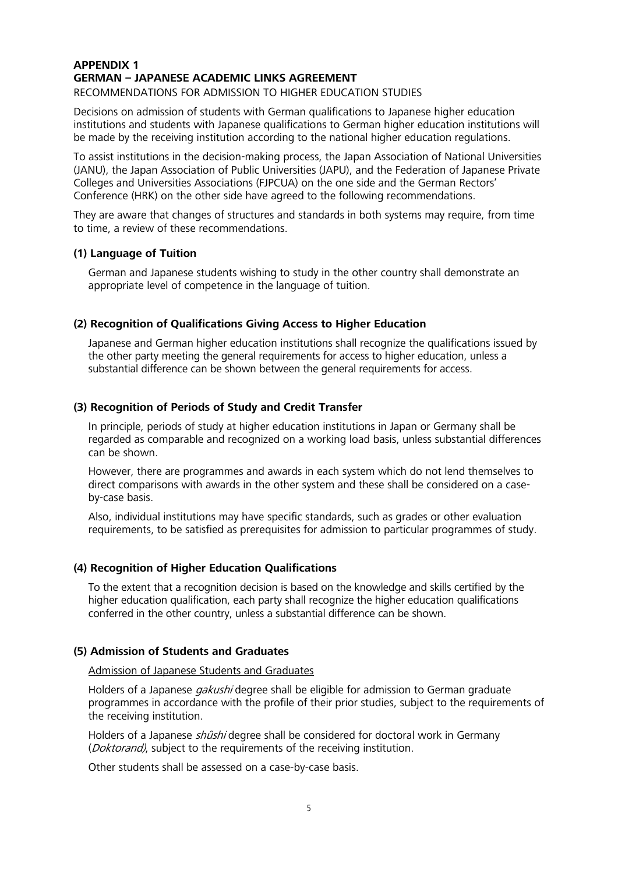## **APPENDIX 1 GERMAN – JAPANESE ACADEMIC LINKS AGREEMENT**

RECOMMENDATIONS FOR ADMISSION TO HIGHER EDUCATION STUDIES

Decisions on admission of students with German qualifications to Japanese higher education institutions and students with Japanese qualifications to German higher education institutions will be made by the receiving institution according to the national higher education regulations.

To assist institutions in the decision-making process, the Japan Association of National Universities (JANU), the Japan Association of Public Universities (JAPU), and the Federation of Japanese Private Colleges and Universities Associations (FJPCUA) on the one side and the German Rectors' Conference (HRK) on the other side have agreed to the following recommendations.

They are aware that changes of structures and standards in both systems may require, from time to time, a review of these recommendations.

## **(1) Language of Tuition**

German and Japanese students wishing to study in the other country shall demonstrate an appropriate level of competence in the language of tuition.

### **(2) Recognition of Qualifications Giving Access to Higher Education**

Japanese and German higher education institutions shall recognize the qualifications issued by the other party meeting the general requirements for access to higher education, unless a substantial difference can be shown between the general requirements for access.

### **(3) Recognition of Periods of Study and Credit Transfer**

In principle, periods of study at higher education institutions in Japan or Germany shall be regarded as comparable and recognized on a working load basis, unless substantial differences can be shown.

However, there are programmes and awards in each system which do not lend themselves to direct comparisons with awards in the other system and these shall be considered on a caseby-case basis.

Also, individual institutions may have specific standards, such as grades or other evaluation requirements, to be satisfied as prerequisites for admission to particular programmes of study.

### **(4) Recognition of Higher Education Qualifications**

To the extent that a recognition decision is based on the knowledge and skills certified by the higher education qualification, each party shall recognize the higher education qualifications conferred in the other country, unless a substantial difference can be shown.

## **(5) Admission of Students and Graduates**

### Admission of Japanese Students and Graduates

Holders of a Japanese *gakushi* degree shall be eligible for admission to German graduate programmes in accordance with the profile of their prior studies, subject to the requirements of the receiving institution.

Holders of a Japanese *shûshi* degree shall be considered for doctoral work in Germany (*Doktorand*), subject to the requirements of the receiving institution.

Other students shall be assessed on a case-by-case basis.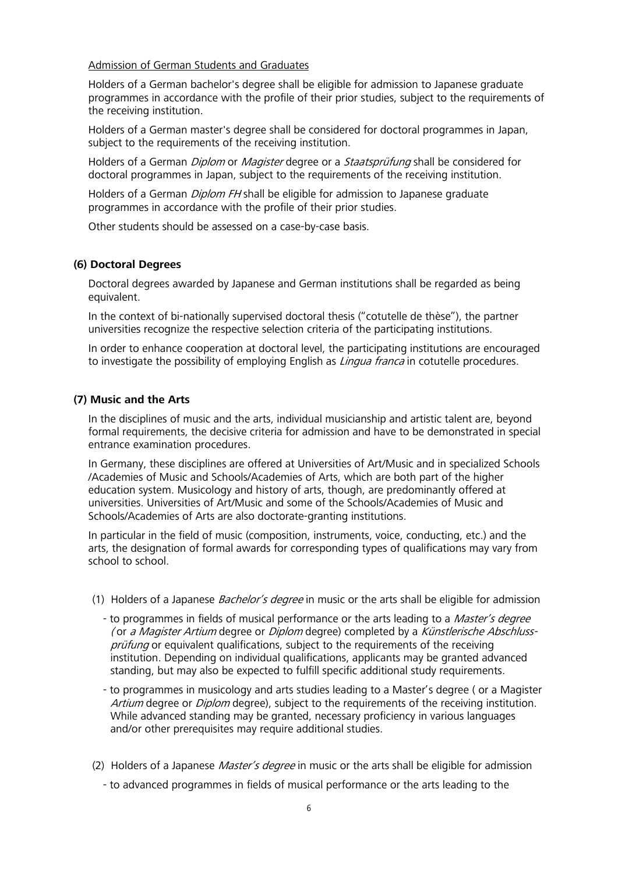Admission of German Students and Graduates

Holders of a German bachelor's degree shall be eligible for admission to Japanese graduate programmes in accordance with the profile of their prior studies, subject to the requirements of the receiving institution.

Holders of a German master's degree shall be considered for doctoral programmes in Japan, subject to the requirements of the receiving institution.

Holders of a German *Diplom* or *Magister* degree or a *Staatsprüfung* shall be considered for doctoral programmes in Japan, subject to the requirements of the receiving institution.

Holders of a German *Diplom FH* shall be eligible for admission to Japanese graduate programmes in accordance with the profile of their prior studies.

Other students should be assessed on a case-by-case basis.

### **(6) Doctoral Degrees**

Doctoral degrees awarded by Japanese and German institutions shall be regarded as being equivalent.

In the context of bi-nationally supervised doctoral thesis ("cotutelle de thèse"), the partner universities recognize the respective selection criteria of the participating institutions.

In order to enhance cooperation at doctoral level, the participating institutions are encouraged to investigate the possibility of employing English as *Lingua franca* in cotutelle procedures.

### **(7) Music and the Arts**

In the disciplines of music and the arts, individual musicianship and artistic talent are, beyond formal requirements, the decisive criteria for admission and have to be demonstrated in special entrance examination procedures.

In Germany, these disciplines are offered at Universities of Art/Music and in specialized Schools /Academies of Music and Schools/Academies of Arts, which are both part of the higher education system. Musicology and history of arts, though, are predominantly offered at universities. Universities of Art/Music and some of the Schools/Academies of Music and Schools/Academies of Arts are also doctorate-granting institutions.

In particular in the field of music (composition, instruments, voice, conducting, etc.) and the arts, the designation of formal awards for corresponding types of qualifications may vary from school to school.

- (1) Holders of a Japanese *Bachelor's degree* in music or the arts shall be eligible for admission
	- to programmes in fields of musical performance or the arts leading to a *Master's degree* ( or a Magister Artium degree or Diplom degree) completed by a Künstlerische Abschlussprüfung or equivalent qualifications, subject to the requirements of the receiving institution. Depending on individual qualifications, applicants may be granted advanced standing, but may also be expected to fulfill specific additional study requirements.
	- to programmes in musicology and arts studies leading to a Master's degree ( or a Magister Artium degree or *Diplom* degree), subject to the requirements of the receiving institution. While advanced standing may be granted, necessary proficiency in various languages and/or other prerequisites may require additional studies.
- (2) Holders of a Japanese *Master's degree* in music or the arts shall be eligible for admission
	- to advanced programmes in fields of musical performance or the arts leading to the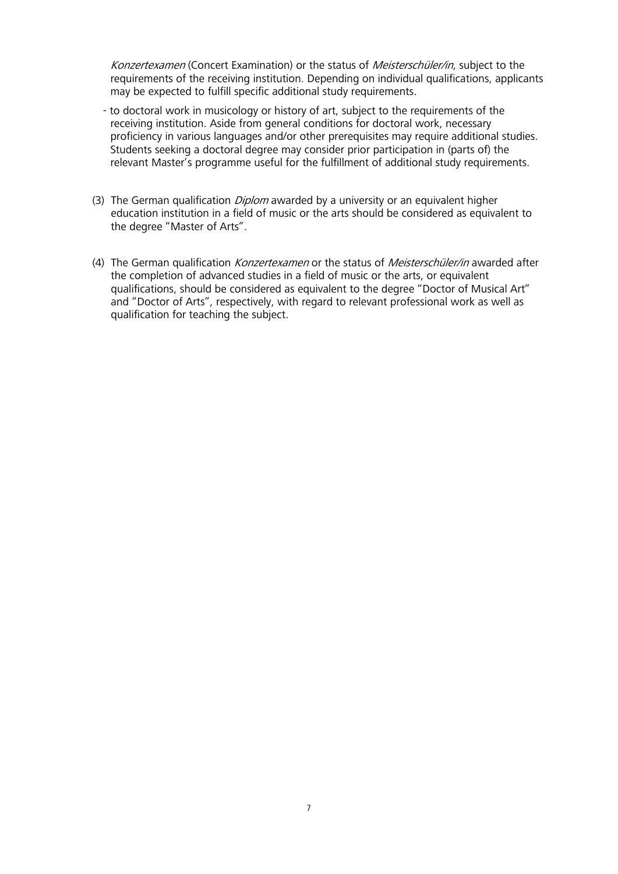Konzertexamen (Concert Examination) or the status of Meisterschüler/in, subject to the requirements of the receiving institution. Depending on individual qualifications, applicants may be expected to fulfill specific additional study requirements.

- to doctoral work in musicology or history of art, subject to the requirements of the receiving institution. Aside from general conditions for doctoral work, necessary proficiency in various languages and/or other prerequisites may require additional studies. Students seeking a doctoral degree may consider prior participation in (parts of) the relevant Master's programme useful for the fulfillment of additional study requirements.
- (3) The German qualification *Diplom* awarded by a university or an equivalent higher education institution in a field of music or the arts should be considered as equivalent to the degree "Master of Arts".
- (4) The German qualification *Konzertexamen* or the status of *Meisterschüler/in* awarded after the completion of advanced studies in a field of music or the arts, or equivalent qualifications, should be considered as equivalent to the degree "Doctor of Musical Art" and "Doctor of Arts", respectively, with regard to relevant professional work as well as qualification for teaching the subject.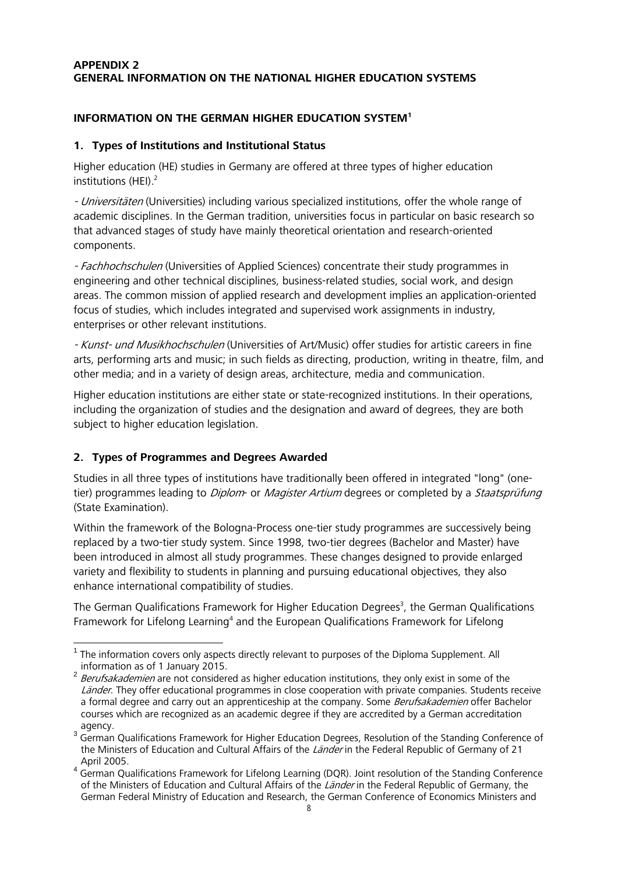## **APPENDIX 2 GENERAL INFORMATION ON THE NATIONAL HIGHER EDUCATION SYSTEMS**

## **INFORMATION ON THE GERMAN HIGHER EDUCATION SYSTEM1**

## **1. Types of Institutions and Institutional Status**

Higher education (HE) studies in Germany are offered at three types of higher education institutions (HEI). 2

- Universitäten (Universities) including various specialized institutions, offer the whole range of academic disciplines. In the German tradition, universities focus in particular on basic research so that advanced stages of study have mainly theoretical orientation and research-oriented components.

- Fachhochschulen (Universities of Applied Sciences) concentrate their study programmes in engineering and other technical disciplines, business-related studies, social work, and design areas. The common mission of applied research and development implies an application-oriented focus of studies, which includes integrated and supervised work assignments in industry, enterprises or other relevant institutions.

- Kunst- und Musikhochschulen (Universities of Art/Music) offer studies for artistic careers in fine arts, performing arts and music; in such fields as directing, production, writing in theatre, film, and other media; and in a variety of design areas, architecture, media and communication.

Higher education institutions are either state or state-recognized institutions. In their operations, including the organization of studies and the designation and award of degrees, they are both subject to higher education legislation.

## **2. Types of Programmes and Degrees Awarded**

Studies in all three types of institutions have traditionally been offered in integrated "long" (onetier) programmes leading to *Diplom*- or *Magister Artium* degrees or completed by a *Staatsprüfung* (State Examination).

Within the framework of the Bologna-Process one-tier study programmes are successively being replaced by a two-tier study system. Since 1998, two-tier degrees (Bachelor and Master) have been introduced in almost all study programmes. These changes designed to provide enlarged variety and flexibility to students in planning and pursuing educational objectives, they also enhance international compatibility of studies.

The German Qualifications Framework for Higher Education Degrees<sup>3</sup>, the German Qualifications Framework for Lifelong Learning<sup>4</sup> and the European Qualifications Framework for Lifelong

<sup>-</sup><sup>1</sup> The information covers only aspects directly relevant to purposes of the Diploma Supplement. All information as of 1 January 2015.

 $2$  Berufsakademien are not considered as higher education institutions, they only exist in some of the Länder. They offer educational programmes in close cooperation with private companies. Students receive a formal degree and carry out an apprenticeship at the company. Some Berufsakademien offer Bachelor courses which are recognized as an academic degree if they are accredited by a German accreditation agency.<br><sup>3</sup> German Oualifications Framework for Higher Education Degrees, Resolution of the Standing Conference of

the Ministers of Education and Cultural Affairs of the Länder in the Federal Republic of Germany of 21

April 2005.<br><sup>4</sup> German Qualifications Framework for Lifelong Learning (DQR). Joint resolution of the Standing Conference of the Ministers of Education and Cultural Affairs of the Länder in the Federal Republic of Germany, the German Federal Ministry of Education and Research, the German Conference of Economics Ministers and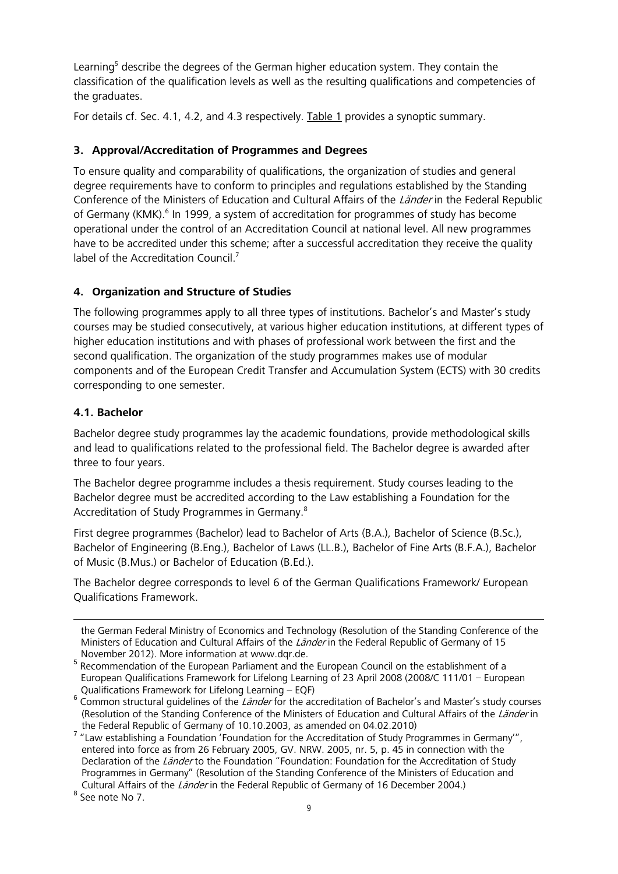Learning<sup>5</sup> describe the degrees of the German higher education system. They contain the classification of the qualification levels as well as the resulting qualifications and competencies of the graduates.

For details cf. Sec. 4.1, 4.2, and 4.3 respectively. Table 1 provides a synoptic summary.

## **3. Approval/Accreditation of Programmes and Degrees**

To ensure quality and comparability of qualifications, the organization of studies and general degree requirements have to conform to principles and regulations established by the Standing Conference of the Ministers of Education and Cultural Affairs of the Länder in the Federal Republic of Germany (KMK).<sup>6</sup> In 1999, a system of accreditation for programmes of study has become operational under the control of an Accreditation Council at national level. All new programmes have to be accredited under this scheme; after a successful accreditation they receive the quality label of the Accreditation Council.<sup>7</sup>

## **4. Organization and Structure of Studies**

The following programmes apply to all three types of institutions. Bachelor's and Master's study courses may be studied consecutively, at various higher education institutions, at different types of higher education institutions and with phases of professional work between the first and the second qualification. The organization of the study programmes makes use of modular components and of the European Credit Transfer and Accumulation System (ECTS) with 30 credits corresponding to one semester.

## **4.1. Bachelor**

Bachelor degree study programmes lay the academic foundations, provide methodological skills and lead to qualifications related to the professional field. The Bachelor degree is awarded after three to four years.

The Bachelor degree programme includes a thesis requirement. Study courses leading to the Bachelor degree must be accredited according to the Law establishing a Foundation for the Accreditation of Study Programmes in Germany.8

First degree programmes (Bachelor) lead to Bachelor of Arts (B.A.), Bachelor of Science (B.Sc.), Bachelor of Engineering (B.Eng.), Bachelor of Laws (LL.B.), Bachelor of Fine Arts (B.F.A.), Bachelor of Music (B.Mus.) or Bachelor of Education (B.Ed.).

The Bachelor degree corresponds to level 6 of the German Qualifications Framework/ European Qualifications Framework.

the German Federal Ministry of Economics and Technology (Resolution of the Standing Conference of the Ministers of Education and Cultural Affairs of the Länder in the Federal Republic of Germany of 15 November 2012). More information at www.dqr.de.

1

<sup>5</sup> Recommendation of the European Parliament and the European Council on the establishment of a European Qualifications Framework for Lifelong Learning of 23 April 2008 (2008/C 111/01 – European

Qualifications Framework for Lifelong Learning – EQF)<br><sup>6</sup> Common structural guidelines of the *Länder* for the accreditation of Bachelor's and Master's study courses (Resolution of the Standing Conference of the Ministers of Education and Cultural Affairs of the Länder in

the Federal Republic of Germany of 10.10.2003, as amended on 04.02.2010) <sup>7</sup> "Law establishing a Foundation 'Foundation for the Accreditation of Study Programmes in Germany'", entered into force as from 26 February 2005, GV. NRW. 2005, nr. 5, p. 45 in connection with the Declaration of the Länder to the Foundation "Foundation: Foundation for the Accreditation of Study Programmes in Germany" (Resolution of the Standing Conference of the Ministers of Education and Cultural Affairs of the *Länder* in the Federal Republic of Germany of 16 December 2004.) <sup>8</sup> See note No 7.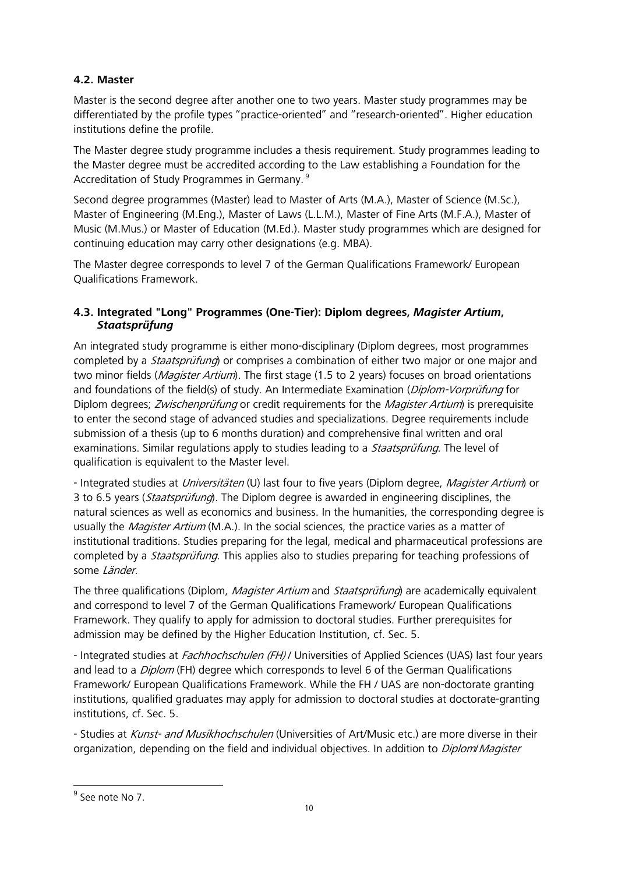## **4.2. Master**

Master is the second degree after another one to two years. Master study programmes may be differentiated by the profile types "practice-oriented" and "research-oriented". Higher education institutions define the profile.

The Master degree study programme includes a thesis requirement. Study programmes leading to the Master degree must be accredited according to the Law establishing a Foundation for the Accreditation of Study Programmes in Germany..9

Second degree programmes (Master) lead to Master of Arts (M.A.), Master of Science (M.Sc.), Master of Engineering (M.Eng.), Master of Laws (L.L.M.), Master of Fine Arts (M.F.A.), Master of Music (M.Mus.) or Master of Education (M.Ed.). Master study programmes which are designed for continuing education may carry other designations (e.g. MBA).

The Master degree corresponds to level 7 of the German Qualifications Framework/ European Qualifications Framework.

## **4.3. Integrated "Long" Programmes (One-Tier): Diplom degrees,** *Magister Artium***,**  *Staatsprüfung*

An integrated study programme is either mono-disciplinary (Diplom degrees, most programmes completed by a *Staatsprüfung*) or comprises a combination of either two major or one major and two minor fields (*Magister Artium*). The first stage (1.5 to 2 years) focuses on broad orientations and foundations of the field(s) of study. An Intermediate Examination (Diplom-Vorprüfung for Diplom degrees; *Zwischenprüfung* or credit requirements for the *Magister Artium*) is prerequisite to enter the second stage of advanced studies and specializations. Degree requirements include submission of a thesis (up to 6 months duration) and comprehensive final written and oral examinations. Similar regulations apply to studies leading to a *Staatsprüfung*. The level of qualification is equivalent to the Master level.

- Integrated studies at *Universitäten* (U) last four to five years (Diplom degree, *Magister Artium*) or 3 to 6.5 years (*Staatsprüfung*). The Diplom degree is awarded in engineering disciplines, the natural sciences as well as economics and business. In the humanities, the corresponding degree is usually the *Magister Artium* (M.A.). In the social sciences, the practice varies as a matter of institutional traditions. Studies preparing for the legal, medical and pharmaceutical professions are completed by a *Staatsprüfung*. This applies also to studies preparing for teaching professions of some Länder.

The three qualifications (Diplom, *Magister Artium* and *Staatsprüfung*) are academically equivalent and correspond to level 7 of the German Qualifications Framework/ European Qualifications Framework. They qualify to apply for admission to doctoral studies. Further prerequisites for admission may be defined by the Higher Education Institution, cf. Sec. 5.

- Integrated studies at Fachhochschulen (FH) / Universities of Applied Sciences (UAS) last four years and lead to a *Diplom* (FH) degree which corresponds to level 6 of the German Qualifications Framework/ European Qualifications Framework. While the FH / UAS are non-doctorate granting institutions, qualified graduates may apply for admission to doctoral studies at doctorate-granting institutions, cf. Sec. 5.

- Studies at Kunst- and Musikhochschulen (Universities of Art/Music etc.) are more diverse in their organization, depending on the field and individual objectives. In addition to *Diplom Magister* 

1

<sup>&</sup>lt;sup>9</sup> See note No 7.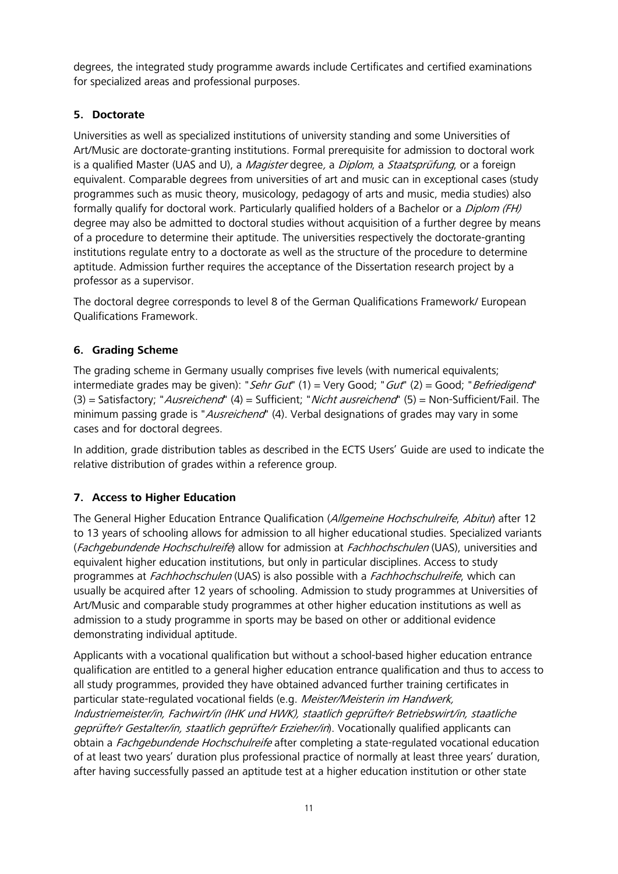degrees, the integrated study programme awards include Certificates and certified examinations for specialized areas and professional purposes.

## **5. Doctorate**

Universities as well as specialized institutions of university standing and some Universities of Art/Music are doctorate-granting institutions. Formal prerequisite for admission to doctoral work is a qualified Master (UAS and U), a Magister degree, a Diplom, a Staatsprüfung, or a foreign equivalent. Comparable degrees from universities of art and music can in exceptional cases (study programmes such as music theory, musicology, pedagogy of arts and music, media studies) also formally qualify for doctoral work. Particularly qualified holders of a Bachelor or a *Diplom (FH)* degree may also be admitted to doctoral studies without acquisition of a further degree by means of a procedure to determine their aptitude. The universities respectively the doctorate-granting institutions regulate entry to a doctorate as well as the structure of the procedure to determine aptitude. Admission further requires the acceptance of the Dissertation research project by a professor as a supervisor.

The doctoral degree corresponds to level 8 of the German Qualifications Framework/ European Qualifications Framework.

## **6. Grading Scheme**

The grading scheme in Germany usually comprises five levels (with numerical equivalents; intermediate grades may be given): "Sehr Gut"  $(1)$  = Very Good; "Gut"  $(2)$  = Good; "Befriedigend" (3) = Satisfactory; "Ausreichend" (4) = Sufficient; "Nicht ausreichend" (5) = Non-Sufficient/Fail. The minimum passing grade is "Ausreichend" (4). Verbal designations of grades may vary in some cases and for doctoral degrees.

In addition, grade distribution tables as described in the ECTS Users' Guide are used to indicate the relative distribution of grades within a reference group.

## **7. Access to Higher Education**

The General Higher Education Entrance Qualification (Allgemeine Hochschulreife, Abitur) after 12 to 13 years of schooling allows for admission to all higher educational studies. Specialized variants (Fachgebundende Hochschulreife) allow for admission at Fachhochschulen (UAS), universities and equivalent higher education institutions, but only in particular disciplines. Access to study programmes at Fachhochschulen (UAS) is also possible with a Fachhochschulreife, which can usually be acquired after 12 years of schooling. Admission to study programmes at Universities of Art/Music and comparable study programmes at other higher education institutions as well as admission to a study programme in sports may be based on other or additional evidence demonstrating individual aptitude.

Applicants with a vocational qualification but without a school-based higher education entrance qualification are entitled to a general higher education entrance qualification and thus to access to all study programmes, provided they have obtained advanced further training certificates in particular state-regulated vocational fields (e.g. Meister/Meisterin im Handwerk, Industriemeister/in, Fachwirt/in (IHK und HWK), staatlich geprüfte/r Betriebswirt/in, staatliche geprüfte/r Gestalter/in, staatlich geprüfte/r Erzieher/in). Vocationally qualified applicants can obtain a Fachgebundende Hochschulreife after completing a state-regulated vocational education of at least two years' duration plus professional practice of normally at least three years' duration, after having successfully passed an aptitude test at a higher education institution or other state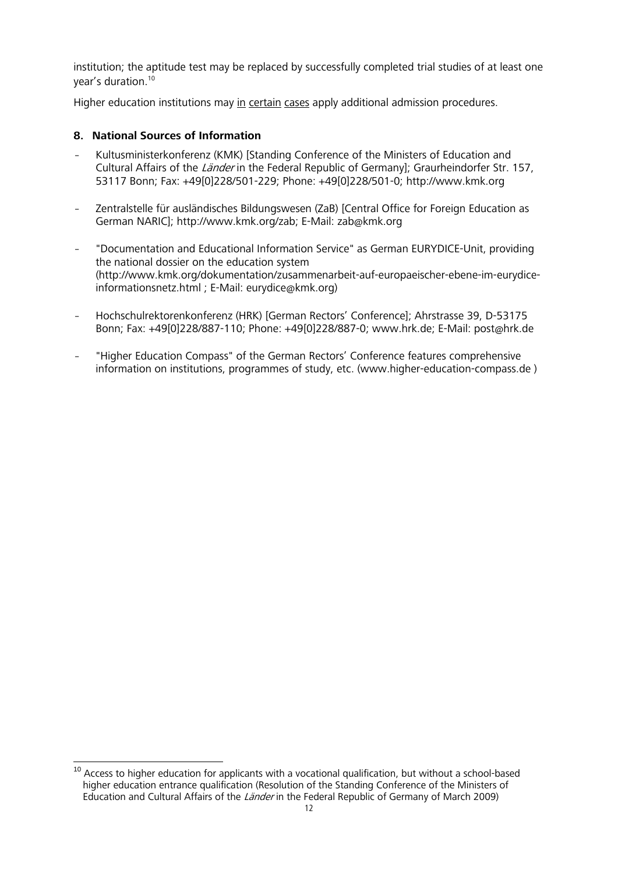institution; the aptitude test may be replaced by successfully completed trial studies of at least one year's duration.10

Higher education institutions may in certain cases apply additional admission procedures.

## **8. National Sources of Information**

- Kultusministerkonferenz (KMK) [Standing Conference of the Ministers of Education and Cultural Affairs of the *Länder* in the Federal Republic of Germany]; Graurheindorfer Str. 157, 53117 Bonn; Fax: +49[0]228/501-229; Phone: +49[0]228/501-0; http://www.kmk.org
- Zentralstelle für ausländisches Bildungswesen (ZaB) [Central Office for Foreign Education as German NARIC]; http://www.kmk.org/zab; E-Mail: zab@kmk.org
- "Documentation and Educational Information Service" as German EURYDICE-Unit, providing the national dossier on the education system (http://www.kmk.org/dokumentation/zusammenarbeit-auf-europaeischer-ebene-im-eurydiceinformationsnetz.html ; E-Mail: eurydice@kmk.org)
- Hochschulrektorenkonferenz (HRK) [German Rectors' Conference]; Ahrstrasse 39, D-53175 Bonn; Fax: +49[0]228/887-110; Phone: +49[0]228/887-0; www.hrk.de; E-Mail: post@hrk.de
- "Higher Education Compass" of the German Rectors' Conference features comprehensive information on institutions, programmes of study, etc. (www.higher-education-compass.de )

<sup>1</sup> <sup>10</sup> Access to higher education for applicants with a vocational qualification, but without a school-based higher education entrance qualification (Resolution of the Standing Conference of the Ministers of Education and Cultural Affairs of the Länder in the Federal Republic of Germany of March 2009)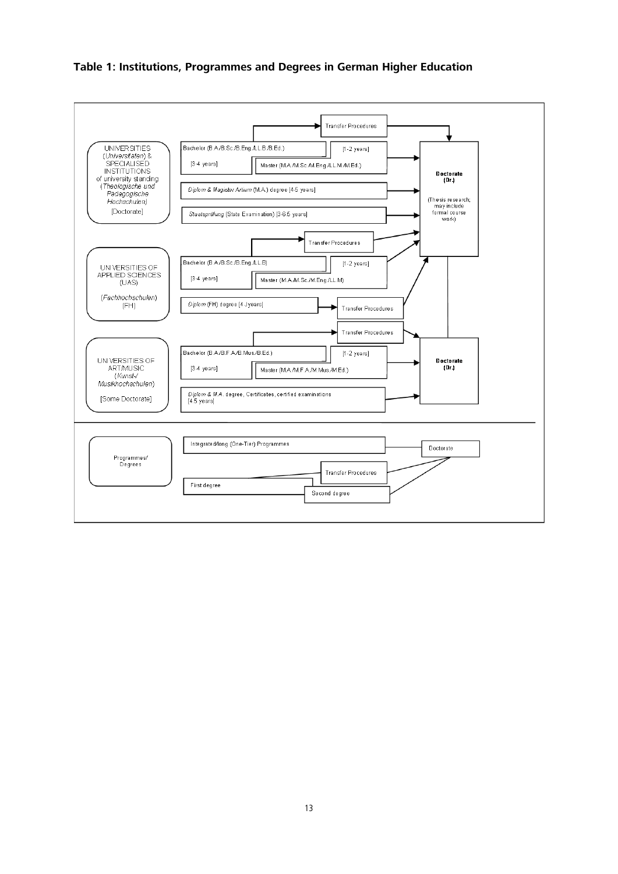### **Table 1: Institutions, Programmes and Degrees in German Higher Education**

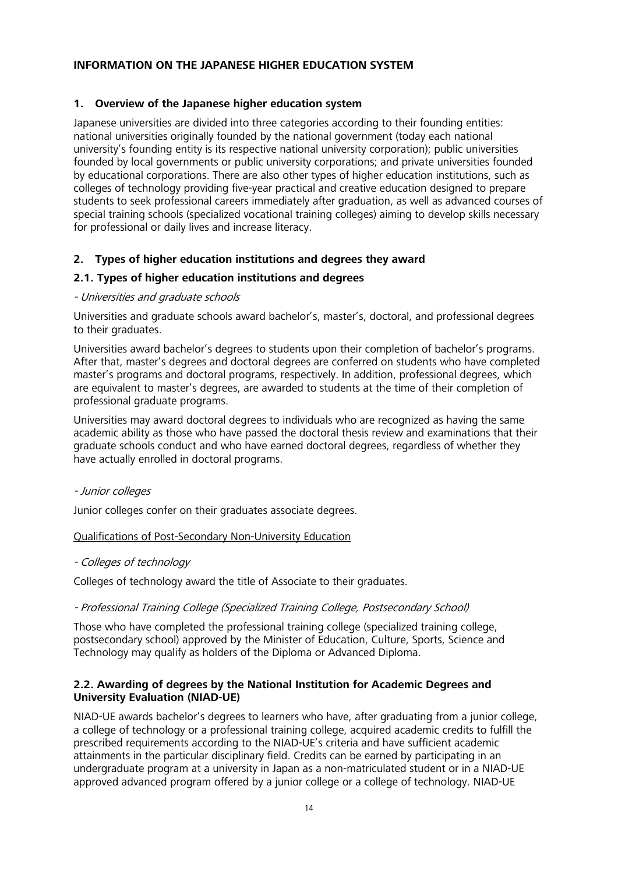### **INFORMATION ON THE JAPANESE HIGHER EDUCATION SYSTEM**

### **1. Overview of the Japanese higher education system**

Japanese universities are divided into three categories according to their founding entities: national universities originally founded by the national government (today each national university's founding entity is its respective national university corporation); public universities founded by local governments or public university corporations; and private universities founded by educational corporations. There are also other types of higher education institutions, such as colleges of technology providing five-year practical and creative education designed to prepare students to seek professional careers immediately after graduation, as well as advanced courses of special training schools (specialized vocational training colleges) aiming to develop skills necessary for professional or daily lives and increase literacy.

### **2. Types of higher education institutions and degrees they award**

### **2.1. Types of higher education institutions and degrees**

### - Universities and graduate schools

Universities and graduate schools award bachelor's, master's, doctoral, and professional degrees to their graduates.

Universities award bachelor's degrees to students upon their completion of bachelor's programs. After that, master's degrees and doctoral degrees are conferred on students who have completed master's programs and doctoral programs, respectively. In addition, professional degrees, which are equivalent to master's degrees, are awarded to students at the time of their completion of professional graduate programs.

Universities may award doctoral degrees to individuals who are recognized as having the same academic ability as those who have passed the doctoral thesis review and examinations that their graduate schools conduct and who have earned doctoral degrees, regardless of whether they have actually enrolled in doctoral programs.

### - Junior colleges

Junior colleges confer on their graduates associate degrees.

Qualifications of Post-Secondary Non-University Education

### - Colleges of technology

Colleges of technology award the title of Associate to their graduates.

### - Professional Training College (Specialized Training College, Postsecondary School)

Those who have completed the professional training college (specialized training college, postsecondary school) approved by the Minister of Education, Culture, Sports, Science and Technology may qualify as holders of the Diploma or Advanced Diploma.

### **2.2. Awarding of degrees by the National Institution for Academic Degrees and University Evaluation (NIAD-UE)**

NIAD-UE awards bachelor's degrees to learners who have, after graduating from a junior college, a college of technology or a professional training college, acquired academic credits to fulfill the prescribed requirements according to the NIAD-UE's criteria and have sufficient academic attainments in the particular disciplinary field. Credits can be earned by participating in an undergraduate program at a university in Japan as a non-matriculated student or in a NIAD-UE approved advanced program offered by a junior college or a college of technology. NIAD-UE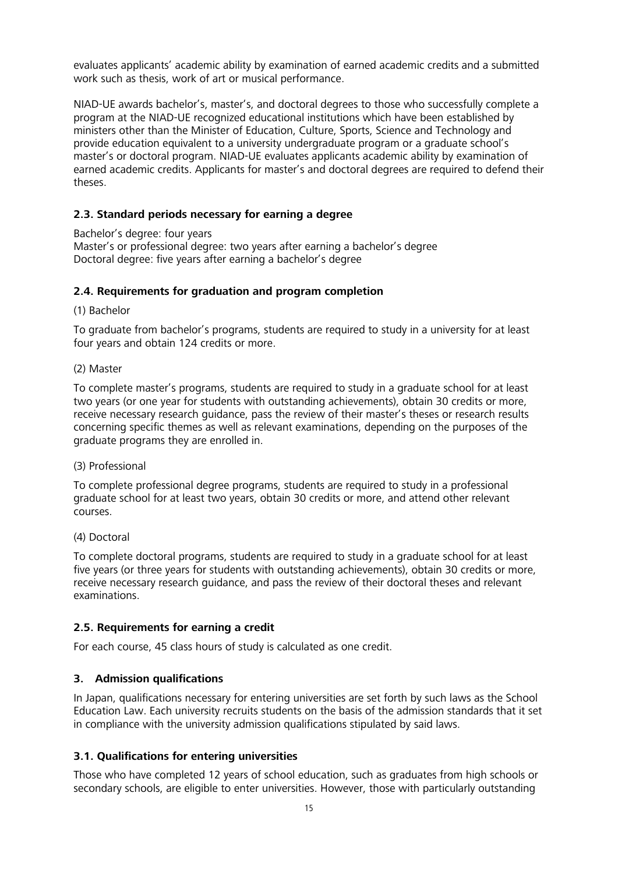evaluates applicants' academic ability by examination of earned academic credits and a submitted work such as thesis, work of art or musical performance.

NIAD-UE awards bachelor's, master's, and doctoral degrees to those who successfully complete a program at the NIAD-UE recognized educational institutions which have been established by ministers other than the Minister of Education, Culture, Sports, Science and Technology and provide education equivalent to a university undergraduate program or a graduate school's master's or doctoral program. NIAD-UE evaluates applicants academic ability by examination of earned academic credits. Applicants for master's and doctoral degrees are required to defend their theses.

### **2.3. Standard periods necessary for earning a degree**

Bachelor's degree: four years

Master's or professional degree: two years after earning a bachelor's degree Doctoral degree: five years after earning a bachelor's degree

### **2.4. Requirements for graduation and program completion**

(1) Bachelor

To graduate from bachelor's programs, students are required to study in a university for at least four years and obtain 124 credits or more.

#### (2) Master

To complete master's programs, students are required to study in a graduate school for at least two years (or one year for students with outstanding achievements), obtain 30 credits or more, receive necessary research guidance, pass the review of their master's theses or research results concerning specific themes as well as relevant examinations, depending on the purposes of the graduate programs they are enrolled in.

### (3) Professional

To complete professional degree programs, students are required to study in a professional graduate school for at least two years, obtain 30 credits or more, and attend other relevant courses.

#### (4) Doctoral

To complete doctoral programs, students are required to study in a graduate school for at least five years (or three years for students with outstanding achievements), obtain 30 credits or more, receive necessary research guidance, and pass the review of their doctoral theses and relevant examinations.

### **2.5. Requirements for earning a credit**

For each course, 45 class hours of study is calculated as one credit.

### **3. Admission qualifications**

In Japan, qualifications necessary for entering universities are set forth by such laws as the School Education Law. Each university recruits students on the basis of the admission standards that it set in compliance with the university admission qualifications stipulated by said laws.

### **3.1. Qualifications for entering universities**

Those who have completed 12 years of school education, such as graduates from high schools or secondary schools, are eligible to enter universities. However, those with particularly outstanding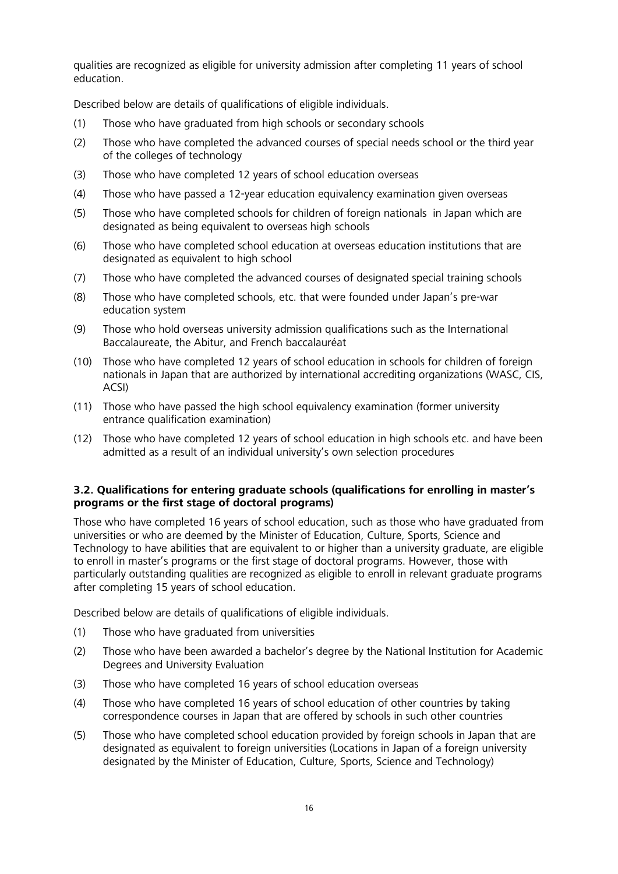qualities are recognized as eligible for university admission after completing 11 years of school education.

Described below are details of qualifications of eligible individuals.

- (1) Those who have graduated from high schools or secondary schools
- (2) Those who have completed the advanced courses of special needs school or the third year of the colleges of technology
- (3) Those who have completed 12 years of school education overseas
- (4) Those who have passed a 12-year education equivalency examination given overseas
- (5) Those who have completed schools for children of foreign nationals in Japan which are designated as being equivalent to overseas high schools
- (6) Those who have completed school education at overseas education institutions that are designated as equivalent to high school
- (7) Those who have completed the advanced courses of designated special training schools
- (8) Those who have completed schools, etc. that were founded under Japan's pre-war education system
- (9) Those who hold overseas university admission qualifications such as the International Baccalaureate, the Abitur, and French baccalauréat
- (10) Those who have completed 12 years of school education in schools for children of foreign nationals in Japan that are authorized by international accrediting organizations (WASC, CIS, ACSI)
- (11) Those who have passed the high school equivalency examination (former university entrance qualification examination)
- (12) Those who have completed 12 years of school education in high schools etc. and have been admitted as a result of an individual university's own selection procedures

### **3.2. Qualifications for entering graduate schools (qualifications for enrolling in master's programs or the first stage of doctoral programs)**

Those who have completed 16 years of school education, such as those who have graduated from universities or who are deemed by the Minister of Education, Culture, Sports, Science and Technology to have abilities that are equivalent to or higher than a university graduate, are eligible to enroll in master's programs or the first stage of doctoral programs. However, those with particularly outstanding qualities are recognized as eligible to enroll in relevant graduate programs after completing 15 years of school education.

Described below are details of qualifications of eligible individuals.

- (1) Those who have graduated from universities
- (2) Those who have been awarded a bachelor's degree by the National Institution for Academic Degrees and University Evaluation
- (3) Those who have completed 16 years of school education overseas
- (4) Those who have completed 16 years of school education of other countries by taking correspondence courses in Japan that are offered by schools in such other countries
- (5) Those who have completed school education provided by foreign schools in Japan that are designated as equivalent to foreign universities (Locations in Japan of a foreign university designated by the Minister of Education, Culture, Sports, Science and Technology)